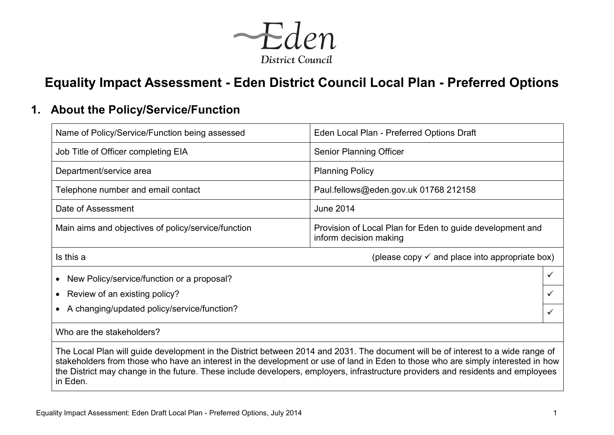

# **Equality Impact Assessment - Eden District Council Local Plan - Preferred Options**

## **1. About the Policy/Service/Function**

| Name of Policy/Service/Function being assessed                                                                                                                                                                                                                                                                                                                                                                       | Eden Local Plan - Preferred Options Draft                                           |  |  |  |  |  |  |
|----------------------------------------------------------------------------------------------------------------------------------------------------------------------------------------------------------------------------------------------------------------------------------------------------------------------------------------------------------------------------------------------------------------------|-------------------------------------------------------------------------------------|--|--|--|--|--|--|
| Job Title of Officer completing EIA                                                                                                                                                                                                                                                                                                                                                                                  | <b>Senior Planning Officer</b>                                                      |  |  |  |  |  |  |
| Department/service area                                                                                                                                                                                                                                                                                                                                                                                              | <b>Planning Policy</b>                                                              |  |  |  |  |  |  |
| Telephone number and email contact                                                                                                                                                                                                                                                                                                                                                                                   | Paul.fellows@eden.gov.uk 01768 212158                                               |  |  |  |  |  |  |
| Date of Assessment                                                                                                                                                                                                                                                                                                                                                                                                   | <b>June 2014</b>                                                                    |  |  |  |  |  |  |
| Main aims and objectives of policy/service/function                                                                                                                                                                                                                                                                                                                                                                  | Provision of Local Plan for Eden to guide development and<br>inform decision making |  |  |  |  |  |  |
| Is this a                                                                                                                                                                                                                                                                                                                                                                                                            | (please copy $\checkmark$ and place into appropriate box)                           |  |  |  |  |  |  |
| New Policy/service/function or a proposal?<br>$\bullet$                                                                                                                                                                                                                                                                                                                                                              | $\checkmark$                                                                        |  |  |  |  |  |  |
| Review of an existing policy?                                                                                                                                                                                                                                                                                                                                                                                        | ✓                                                                                   |  |  |  |  |  |  |
| A changing/updated policy/service/function?<br>$\bullet$                                                                                                                                                                                                                                                                                                                                                             | ✓                                                                                   |  |  |  |  |  |  |
| Who are the stakeholders?                                                                                                                                                                                                                                                                                                                                                                                            |                                                                                     |  |  |  |  |  |  |
| The Local Plan will guide development in the District between 2014 and 2031. The document will be of interest to a wide range of<br>stakeholders from those who have an interest in the development or use of land in Eden to those who are simply interested in how<br>the District may change in the future. These include developers, employers, infrastructure providers and residents and employees<br>in Eden. |                                                                                     |  |  |  |  |  |  |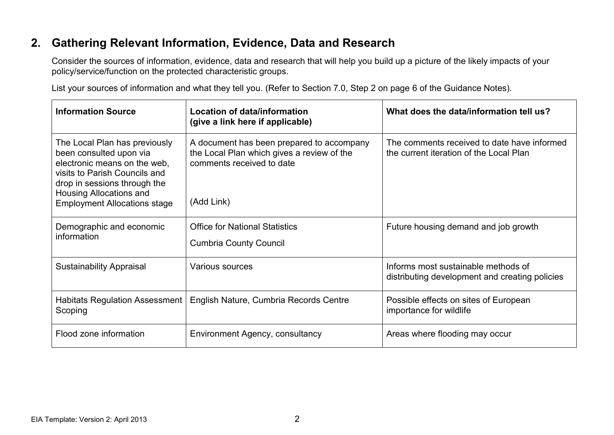# **2. Gathering Relevant Information, Evidence, Data and Research**

Consider the sources of information, evidence, data and research that will help you build up a picture of the likely impacts of your policy/service/function on the protected characteristic groups.

List your sources of information and what they tell you. (Refer to Section 7.0, Step 2 on page 6 of the Guidance Notes).

| <b>Information Source</b>                                                                                                                                                                                                   | <b>Location of data/information</b><br>(give a link here if applicable)                                                            | What does the data/information tell us?                                                |
|-----------------------------------------------------------------------------------------------------------------------------------------------------------------------------------------------------------------------------|------------------------------------------------------------------------------------------------------------------------------------|----------------------------------------------------------------------------------------|
| The Local Plan has previously<br>been consulted upon via<br>electronic means on the web,<br>visits to Parish Councils and<br>drop in sessions through the<br>Housing Allocations and<br><b>Employment Allocations stage</b> | A document has been prepared to accompany<br>the Local Plan which gives a review of the<br>comments received to date<br>(Add Link) | The comments received to date have informed<br>the current iteration of the Local Plan |
| Demographic and economic<br>information                                                                                                                                                                                     | <b>Office for National Statistics</b><br><b>Cumbria County Council</b>                                                             | Future housing demand and job growth                                                   |
| <b>Sustainability Appraisal</b>                                                                                                                                                                                             | Various sources                                                                                                                    | Informs most sustainable methods of<br>distributing development and creating policies  |
| <b>Habitats Regulation Assessment</b><br>Scoping                                                                                                                                                                            | English Nature, Cumbria Records Centre                                                                                             | Possible effects on sites of European<br>importance for wildlife                       |
| Flood zone information                                                                                                                                                                                                      | Environment Agency, consultancy                                                                                                    | Areas where flooding may occur                                                         |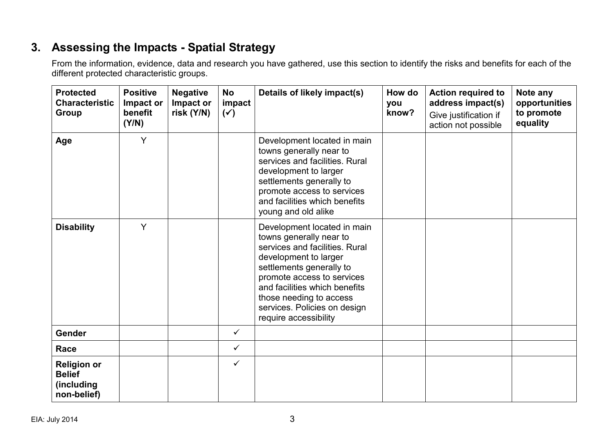# **3. Assessing the Impacts - Spatial Strategy**

| <b>Protected</b><br><b>Characteristic</b><br>Group               | <b>Positive</b><br>Impact or<br>benefit<br>(Y/N) | <b>Negative</b><br>Impact or<br>risk (Y/N) | <b>No</b><br>impact<br>$(\checkmark)$ | Details of likely impact(s)                                                                                                                                                                                                                                                                      | How do<br>you<br>know? | <b>Action required to</b><br>address impact(s)<br>Give justification if<br>action not possible | Note any<br>opportunities<br>to promote<br>equality |
|------------------------------------------------------------------|--------------------------------------------------|--------------------------------------------|---------------------------------------|--------------------------------------------------------------------------------------------------------------------------------------------------------------------------------------------------------------------------------------------------------------------------------------------------|------------------------|------------------------------------------------------------------------------------------------|-----------------------------------------------------|
| Age                                                              | Y                                                |                                            |                                       | Development located in main<br>towns generally near to<br>services and facilities. Rural<br>development to larger<br>settlements generally to<br>promote access to services<br>and facilities which benefits<br>young and old alike                                                              |                        |                                                                                                |                                                     |
| <b>Disability</b>                                                | Y                                                |                                            |                                       | Development located in main<br>towns generally near to<br>services and facilities. Rural<br>development to larger<br>settlements generally to<br>promote access to services<br>and facilities which benefits<br>those needing to access<br>services. Policies on design<br>require accessibility |                        |                                                                                                |                                                     |
| Gender                                                           |                                                  |                                            | $\checkmark$                          |                                                                                                                                                                                                                                                                                                  |                        |                                                                                                |                                                     |
| Race                                                             |                                                  |                                            | $\checkmark$                          |                                                                                                                                                                                                                                                                                                  |                        |                                                                                                |                                                     |
| <b>Religion or</b><br><b>Belief</b><br>(including<br>non-belief) |                                                  |                                            | $\checkmark$                          |                                                                                                                                                                                                                                                                                                  |                        |                                                                                                |                                                     |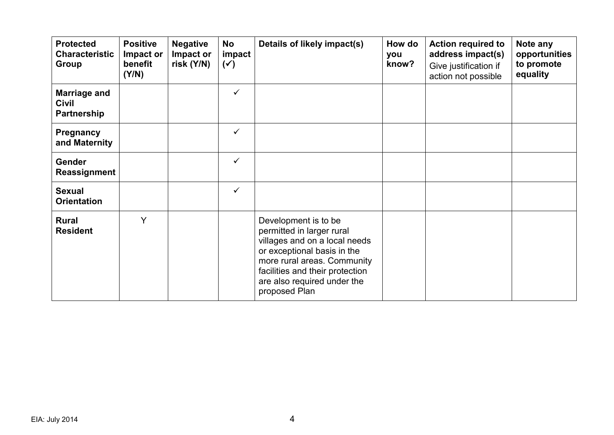| <b>Protected</b><br><b>Characteristic</b><br><b>Group</b> | <b>Positive</b><br>Impact or<br>benefit<br>(Y/N) | <b>Negative</b><br>Impact or<br>risk (Y/N) | No<br>impact<br>$(\checkmark)$ | Details of likely impact(s)                                                                                                                                                                                                         | How do<br>you<br>know? | <b>Action required to</b><br>address impact(s)<br>Give justification if<br>action not possible | Note any<br>opportunities<br>to promote<br>equality |
|-----------------------------------------------------------|--------------------------------------------------|--------------------------------------------|--------------------------------|-------------------------------------------------------------------------------------------------------------------------------------------------------------------------------------------------------------------------------------|------------------------|------------------------------------------------------------------------------------------------|-----------------------------------------------------|
| <b>Marriage and</b><br><b>Civil</b><br>Partnership        |                                                  |                                            | $\checkmark$                   |                                                                                                                                                                                                                                     |                        |                                                                                                |                                                     |
| <b>Pregnancy</b><br>and Maternity                         |                                                  |                                            | $\checkmark$                   |                                                                                                                                                                                                                                     |                        |                                                                                                |                                                     |
| <b>Gender</b><br>Reassignment                             |                                                  |                                            | ✓                              |                                                                                                                                                                                                                                     |                        |                                                                                                |                                                     |
| <b>Sexual</b><br><b>Orientation</b>                       |                                                  |                                            | $\checkmark$                   |                                                                                                                                                                                                                                     |                        |                                                                                                |                                                     |
| <b>Rural</b><br><b>Resident</b>                           | Y                                                |                                            |                                | Development is to be<br>permitted in larger rural<br>villages and on a local needs<br>or exceptional basis in the<br>more rural areas. Community<br>facilities and their protection<br>are also required under the<br>proposed Plan |                        |                                                                                                |                                                     |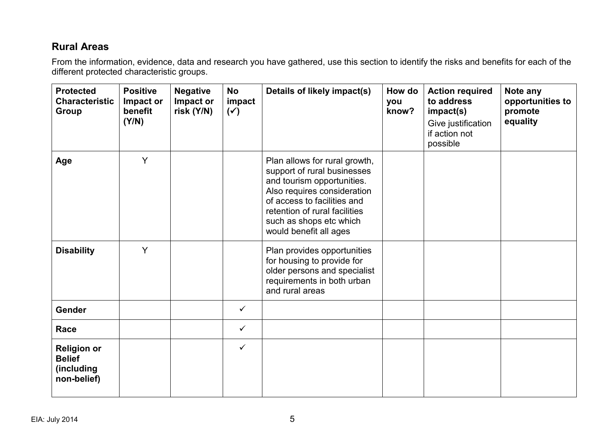#### **Rural Areas**

| <b>Protected</b><br><b>Characteristic</b><br><b>Group</b>        | <b>Positive</b><br>Impact or<br>benefit<br>(Y/N) | <b>Negative</b><br>Impact or<br>risk (Y/N) | <b>No</b><br>impact<br>$(\checkmark)$ | Details of likely impact(s)                                                                                                                                                                                                                    | How do<br>you<br>know? | <b>Action required</b><br>to address<br>impact(s)<br>Give justification<br>if action not<br>possible | Note any<br>opportunities to<br>promote<br>equality |
|------------------------------------------------------------------|--------------------------------------------------|--------------------------------------------|---------------------------------------|------------------------------------------------------------------------------------------------------------------------------------------------------------------------------------------------------------------------------------------------|------------------------|------------------------------------------------------------------------------------------------------|-----------------------------------------------------|
| Age                                                              | Y                                                |                                            |                                       | Plan allows for rural growth,<br>support of rural businesses<br>and tourism opportunities.<br>Also requires consideration<br>of access to facilities and<br>retention of rural facilities<br>such as shops etc which<br>would benefit all ages |                        |                                                                                                      |                                                     |
| <b>Disability</b>                                                | Y                                                |                                            |                                       | Plan provides opportunities<br>for housing to provide for<br>older persons and specialist<br>requirements in both urban<br>and rural areas                                                                                                     |                        |                                                                                                      |                                                     |
| <b>Gender</b>                                                    |                                                  |                                            | $\checkmark$                          |                                                                                                                                                                                                                                                |                        |                                                                                                      |                                                     |
| Race                                                             |                                                  |                                            | $\checkmark$                          |                                                                                                                                                                                                                                                |                        |                                                                                                      |                                                     |
| <b>Religion or</b><br><b>Belief</b><br>(including<br>non-belief) |                                                  |                                            | $\checkmark$                          |                                                                                                                                                                                                                                                |                        |                                                                                                      |                                                     |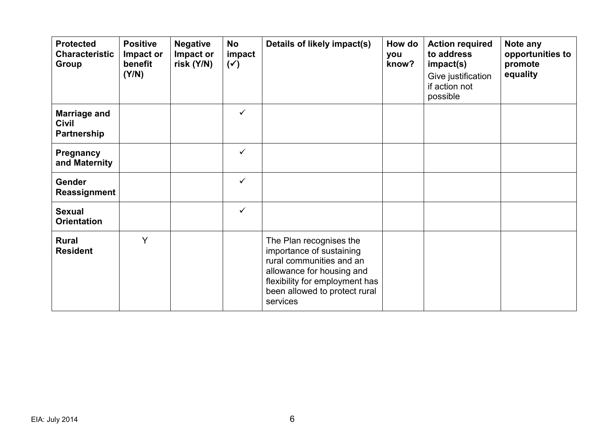| <b>Protected</b><br><b>Characteristic</b><br><b>Group</b> | <b>Positive</b><br>Impact or<br>benefit<br>(Y/N) | <b>Negative</b><br>Impact or<br>risk (Y/N) | <b>No</b><br>impact<br>$(\checkmark)$ | Details of likely impact(s)                                                                                                                                                                 | How do<br>you<br>know? | <b>Action required</b><br>to address<br>impact(s)<br>Give justification<br>if action not<br>possible | Note any<br>opportunities to<br>promote<br>equality |
|-----------------------------------------------------------|--------------------------------------------------|--------------------------------------------|---------------------------------------|---------------------------------------------------------------------------------------------------------------------------------------------------------------------------------------------|------------------------|------------------------------------------------------------------------------------------------------|-----------------------------------------------------|
| <b>Marriage and</b><br><b>Civil</b><br>Partnership        |                                                  |                                            | $\checkmark$                          |                                                                                                                                                                                             |                        |                                                                                                      |                                                     |
| Pregnancy<br>and Maternity                                |                                                  |                                            | $\checkmark$                          |                                                                                                                                                                                             |                        |                                                                                                      |                                                     |
| <b>Gender</b><br>Reassignment                             |                                                  |                                            | $\checkmark$                          |                                                                                                                                                                                             |                        |                                                                                                      |                                                     |
| <b>Sexual</b><br><b>Orientation</b>                       |                                                  |                                            | $\checkmark$                          |                                                                                                                                                                                             |                        |                                                                                                      |                                                     |
| <b>Rural</b><br><b>Resident</b>                           | Y                                                |                                            |                                       | The Plan recognises the<br>importance of sustaining<br>rural communities and an<br>allowance for housing and<br>flexibility for employment has<br>been allowed to protect rural<br>services |                        |                                                                                                      |                                                     |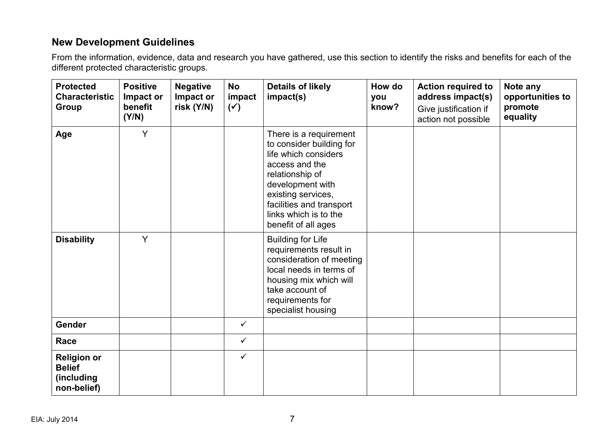### **New Development Guidelines**

| <b>Protected</b><br><b>Characteristic</b><br><b>Group</b>        | <b>Positive</b><br>Impact or<br>benefit<br>(Y/N) | <b>Negative</b><br>Impact or<br>risk (Y/N) | <b>No</b><br>impact<br>$(\checkmark)$ | <b>Details of likely</b><br>impact(s)                                                                                                                                                                                                 | How do<br>you<br>know? | <b>Action required to</b><br>address impact(s)<br>Give justification if<br>action not possible | Note any<br>opportunities to<br>promote<br>equality |
|------------------------------------------------------------------|--------------------------------------------------|--------------------------------------------|---------------------------------------|---------------------------------------------------------------------------------------------------------------------------------------------------------------------------------------------------------------------------------------|------------------------|------------------------------------------------------------------------------------------------|-----------------------------------------------------|
| Age                                                              | Y                                                |                                            |                                       | There is a requirement<br>to consider building for<br>life which considers<br>access and the<br>relationship of<br>development with<br>existing services,<br>facilities and transport<br>links which is to the<br>benefit of all ages |                        |                                                                                                |                                                     |
| <b>Disability</b>                                                | Y                                                |                                            |                                       | <b>Building for Life</b><br>requirements result in<br>consideration of meeting<br>local needs in terms of<br>housing mix which will<br>take account of<br>requirements for<br>specialist housing                                      |                        |                                                                                                |                                                     |
| Gender                                                           |                                                  |                                            | $\checkmark$                          |                                                                                                                                                                                                                                       |                        |                                                                                                |                                                     |
| Race                                                             |                                                  |                                            | $\checkmark$                          |                                                                                                                                                                                                                                       |                        |                                                                                                |                                                     |
| <b>Religion or</b><br><b>Belief</b><br>(including<br>non-belief) |                                                  |                                            | $\checkmark$                          |                                                                                                                                                                                                                                       |                        |                                                                                                |                                                     |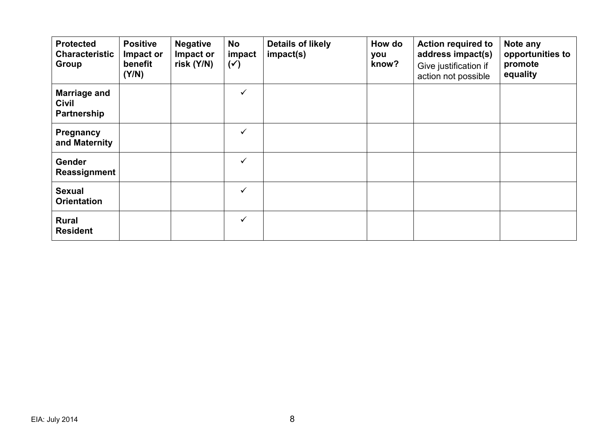| <b>Protected</b><br><b>Characteristic</b><br>Group | <b>Positive</b><br>Impact or<br>benefit<br>(Y/N) | <b>Negative</b><br>Impact or<br>risk $(Y/N)$ | <b>No</b><br>impact<br>$(\checkmark)$ | <b>Details of likely</b><br>impact(s) | How do<br>you<br>know? | <b>Action required to</b><br>address impact(s)<br>Give justification if<br>action not possible | Note any<br>opportunities to<br>promote<br>equality |
|----------------------------------------------------|--------------------------------------------------|----------------------------------------------|---------------------------------------|---------------------------------------|------------------------|------------------------------------------------------------------------------------------------|-----------------------------------------------------|
| <b>Marriage and</b><br><b>Civil</b><br>Partnership |                                                  |                                              | $\checkmark$                          |                                       |                        |                                                                                                |                                                     |
| Pregnancy<br>and Maternity                         |                                                  |                                              | $\checkmark$                          |                                       |                        |                                                                                                |                                                     |
| <b>Gender</b><br>Reassignment                      |                                                  |                                              | ✓                                     |                                       |                        |                                                                                                |                                                     |
| <b>Sexual</b><br><b>Orientation</b>                |                                                  |                                              | $\checkmark$                          |                                       |                        |                                                                                                |                                                     |
| <b>Rural</b><br><b>Resident</b>                    |                                                  |                                              | $\checkmark$                          |                                       |                        |                                                                                                |                                                     |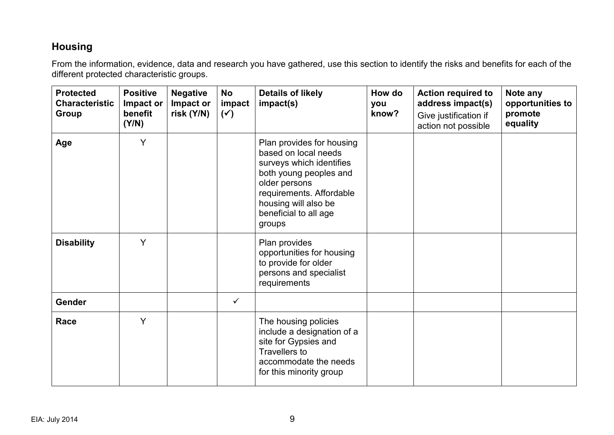### **Housing**

| <b>Protected</b><br><b>Characteristic</b><br>Group | <b>Positive</b><br>Impact or<br>benefit<br>(Y/N) | <b>Negative</b><br>Impact or<br>risk (Y/N) | <b>No</b><br>impact<br>$(\checkmark)$ | <b>Details of likely</b><br>impact(s)                                                                                                                                                                           | How do<br>you<br>know? | <b>Action required to</b><br>address impact(s)<br>Give justification if<br>action not possible | Note any<br>opportunities to<br>promote<br>equality |
|----------------------------------------------------|--------------------------------------------------|--------------------------------------------|---------------------------------------|-----------------------------------------------------------------------------------------------------------------------------------------------------------------------------------------------------------------|------------------------|------------------------------------------------------------------------------------------------|-----------------------------------------------------|
| Age                                                | Y                                                |                                            |                                       | Plan provides for housing<br>based on local needs<br>surveys which identifies<br>both young peoples and<br>older persons<br>requirements. Affordable<br>housing will also be<br>beneficial to all age<br>groups |                        |                                                                                                |                                                     |
| <b>Disability</b>                                  | Y                                                |                                            |                                       | Plan provides<br>opportunities for housing<br>to provide for older<br>persons and specialist<br>requirements                                                                                                    |                        |                                                                                                |                                                     |
| <b>Gender</b>                                      |                                                  |                                            | $\checkmark$                          |                                                                                                                                                                                                                 |                        |                                                                                                |                                                     |
| Race                                               | Y                                                |                                            |                                       | The housing policies<br>include a designation of a<br>site for Gypsies and<br>Travellers to<br>accommodate the needs<br>for this minority group                                                                 |                        |                                                                                                |                                                     |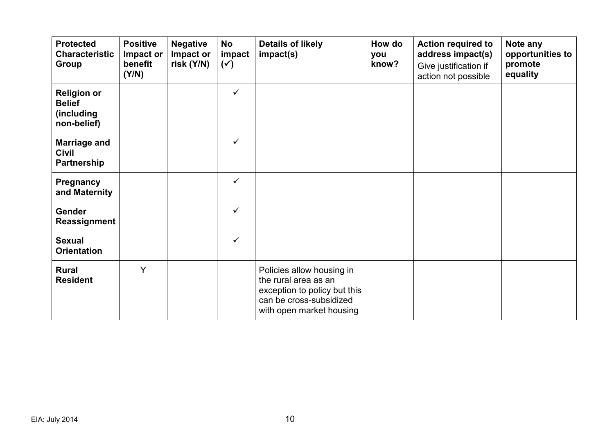| <b>Protected</b><br><b>Characteristic</b><br><b>Group</b>        | <b>Positive</b><br>Impact or<br>benefit<br>(Y/N) | <b>Negative</b><br>Impact or<br>risk (Y/N) | <b>No</b><br>impact<br>$(\checkmark)$ | <b>Details of likely</b><br>impact(s)                                                                                                    | How do<br>you<br>know? | <b>Action required to</b><br>address impact(s)<br>Give justification if<br>action not possible | Note any<br>opportunities to<br>promote<br>equality |
|------------------------------------------------------------------|--------------------------------------------------|--------------------------------------------|---------------------------------------|------------------------------------------------------------------------------------------------------------------------------------------|------------------------|------------------------------------------------------------------------------------------------|-----------------------------------------------------|
| <b>Religion or</b><br><b>Belief</b><br>(including<br>non-belief) |                                                  |                                            | ✓                                     |                                                                                                                                          |                        |                                                                                                |                                                     |
| <b>Marriage and</b><br><b>Civil</b><br>Partnership               |                                                  |                                            | $\checkmark$                          |                                                                                                                                          |                        |                                                                                                |                                                     |
| Pregnancy<br>and Maternity                                       |                                                  |                                            | ✓                                     |                                                                                                                                          |                        |                                                                                                |                                                     |
| <b>Gender</b><br>Reassignment                                    |                                                  |                                            | ✓                                     |                                                                                                                                          |                        |                                                                                                |                                                     |
| <b>Sexual</b><br><b>Orientation</b>                              |                                                  |                                            | ✓                                     |                                                                                                                                          |                        |                                                                                                |                                                     |
| <b>Rural</b><br><b>Resident</b>                                  | Y                                                |                                            |                                       | Policies allow housing in<br>the rural area as an<br>exception to policy but this<br>can be cross-subsidized<br>with open market housing |                        |                                                                                                |                                                     |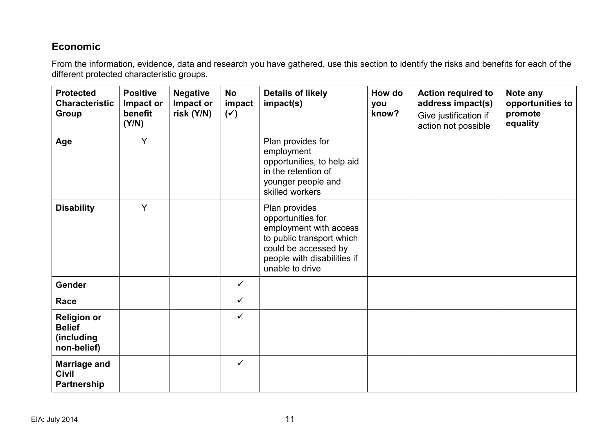#### **Economic**

| <b>Protected</b><br><b>Characteristic</b><br>Group               | <b>Positive</b><br>Impact or<br>benefit<br>(Y/N) | <b>Negative</b><br>Impact or<br>risk (Y/N) | <b>No</b><br>impact<br>$(\checkmark)$ | <b>Details of likely</b><br>impact(s)                                                                                                                               | How do<br>you<br>know? | <b>Action required to</b><br>address impact(s)<br>Give justification if<br>action not possible | Note any<br>opportunities to<br>promote<br>equality |
|------------------------------------------------------------------|--------------------------------------------------|--------------------------------------------|---------------------------------------|---------------------------------------------------------------------------------------------------------------------------------------------------------------------|------------------------|------------------------------------------------------------------------------------------------|-----------------------------------------------------|
| Age                                                              | Y                                                |                                            |                                       | Plan provides for<br>employment<br>opportunities, to help aid<br>in the retention of<br>younger people and<br>skilled workers                                       |                        |                                                                                                |                                                     |
| <b>Disability</b>                                                | Y                                                |                                            |                                       | Plan provides<br>opportunities for<br>employment with access<br>to public transport which<br>could be accessed by<br>people with disabilities if<br>unable to drive |                        |                                                                                                |                                                     |
| Gender                                                           |                                                  |                                            | $\checkmark$                          |                                                                                                                                                                     |                        |                                                                                                |                                                     |
| Race                                                             |                                                  |                                            | $\checkmark$                          |                                                                                                                                                                     |                        |                                                                                                |                                                     |
| <b>Religion or</b><br><b>Belief</b><br>(including<br>non-belief) |                                                  |                                            | $\checkmark$                          |                                                                                                                                                                     |                        |                                                                                                |                                                     |
| <b>Marriage and</b><br><b>Civil</b><br>Partnership               |                                                  |                                            | $\checkmark$                          |                                                                                                                                                                     |                        |                                                                                                |                                                     |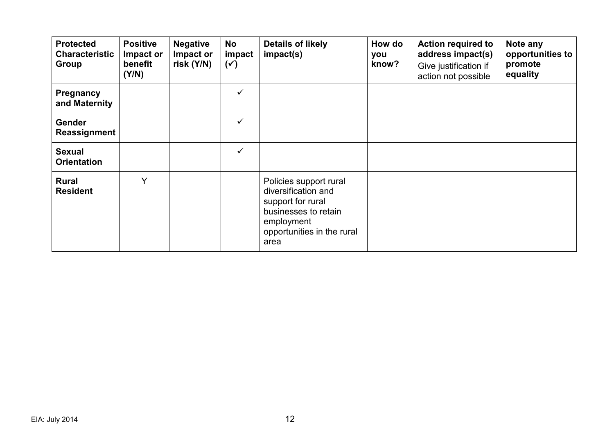| <b>Protected</b><br><b>Characteristic</b><br>Group | <b>Positive</b><br>Impact or<br>benefit<br>(Y/N) | <b>Negative</b><br>Impact or<br>risk $(Y/N)$ | No<br>impact<br>$(\checkmark)$ | <b>Details of likely</b><br>impact(s)                                                                                                          | How do<br>you<br>know? | <b>Action required to</b><br>address impact(s)<br>Give justification if<br>action not possible | Note any<br>opportunities to<br>promote<br>equality |
|----------------------------------------------------|--------------------------------------------------|----------------------------------------------|--------------------------------|------------------------------------------------------------------------------------------------------------------------------------------------|------------------------|------------------------------------------------------------------------------------------------|-----------------------------------------------------|
| <b>Pregnancy</b><br>and Maternity                  |                                                  |                                              | $\checkmark$                   |                                                                                                                                                |                        |                                                                                                |                                                     |
| <b>Gender</b><br>Reassignment                      |                                                  |                                              | $\checkmark$                   |                                                                                                                                                |                        |                                                                                                |                                                     |
| <b>Sexual</b><br><b>Orientation</b>                |                                                  |                                              | $\checkmark$                   |                                                                                                                                                |                        |                                                                                                |                                                     |
| <b>Rural</b><br><b>Resident</b>                    | v                                                |                                              |                                | Policies support rural<br>diversification and<br>support for rural<br>businesses to retain<br>employment<br>opportunities in the rural<br>area |                        |                                                                                                |                                                     |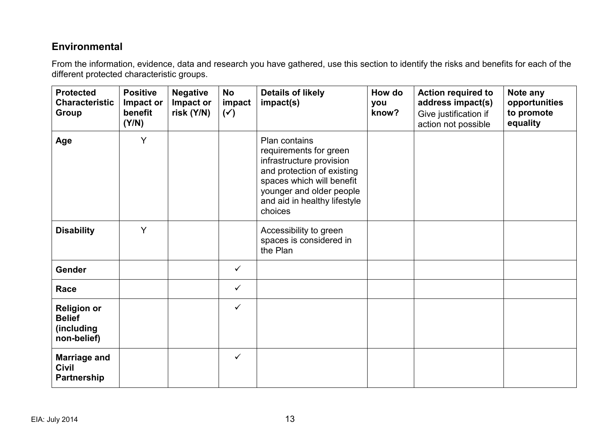#### **Environmental**

| <b>Protected</b><br><b>Characteristic</b><br>Group               | <b>Positive</b><br>Impact or<br>benefit<br>(Y/N) | <b>Negative</b><br>Impact or<br>risk (Y/N) | <b>No</b><br>impact<br>$(\check{ }')$ | <b>Details of likely</b><br>impact(s)                                                                                                                                                                 | How do<br>you<br>know? | <b>Action required to</b><br>address impact(s)<br>Give justification if<br>action not possible | Note any<br>opportunities<br>to promote<br>equality |
|------------------------------------------------------------------|--------------------------------------------------|--------------------------------------------|---------------------------------------|-------------------------------------------------------------------------------------------------------------------------------------------------------------------------------------------------------|------------------------|------------------------------------------------------------------------------------------------|-----------------------------------------------------|
| Age                                                              | Y                                                |                                            |                                       | Plan contains<br>requirements for green<br>infrastructure provision<br>and protection of existing<br>spaces which will benefit<br>younger and older people<br>and aid in healthy lifestyle<br>choices |                        |                                                                                                |                                                     |
| <b>Disability</b>                                                | Y                                                |                                            |                                       | Accessibility to green<br>spaces is considered in<br>the Plan                                                                                                                                         |                        |                                                                                                |                                                     |
| Gender                                                           |                                                  |                                            | $\checkmark$                          |                                                                                                                                                                                                       |                        |                                                                                                |                                                     |
| Race                                                             |                                                  |                                            | $\checkmark$                          |                                                                                                                                                                                                       |                        |                                                                                                |                                                     |
| <b>Religion or</b><br><b>Belief</b><br>(including<br>non-belief) |                                                  |                                            | $\checkmark$                          |                                                                                                                                                                                                       |                        |                                                                                                |                                                     |
| <b>Marriage and</b><br><b>Civil</b><br>Partnership               |                                                  |                                            | $\checkmark$                          |                                                                                                                                                                                                       |                        |                                                                                                |                                                     |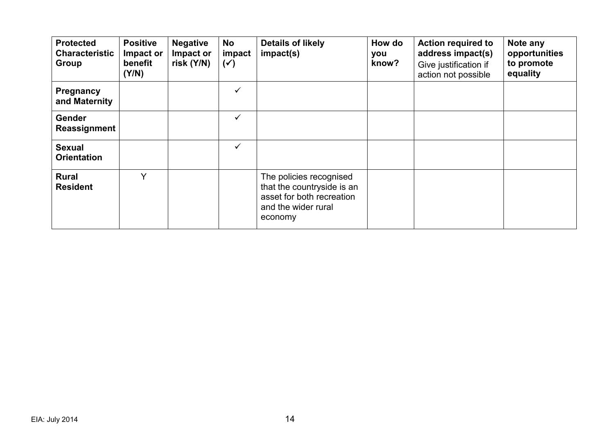| <b>Protected</b><br><b>Characteristic</b><br>Group | <b>Positive</b><br>Impact or<br>benefit<br>(Y/N) | <b>Negative</b><br>Impact or<br>risk $(Y/N)$ | No<br>impact<br>$(\checkmark)$ | <b>Details of likely</b><br>impact(s)                                                                                | How do<br>you<br>know? | <b>Action required to</b><br>address impact(s)<br>Give justification if<br>action not possible | Note any<br>opportunities<br>to promote<br>equality |
|----------------------------------------------------|--------------------------------------------------|----------------------------------------------|--------------------------------|----------------------------------------------------------------------------------------------------------------------|------------------------|------------------------------------------------------------------------------------------------|-----------------------------------------------------|
| Pregnancy<br>and Maternity                         |                                                  |                                              | ✓                              |                                                                                                                      |                        |                                                                                                |                                                     |
| Gender<br>Reassignment                             |                                                  |                                              | ✓                              |                                                                                                                      |                        |                                                                                                |                                                     |
| <b>Sexual</b><br><b>Orientation</b>                |                                                  |                                              | ✓                              |                                                                                                                      |                        |                                                                                                |                                                     |
| <b>Rural</b><br><b>Resident</b>                    | $\vee$                                           |                                              |                                | The policies recognised<br>that the countryside is an<br>asset for both recreation<br>and the wider rural<br>economy |                        |                                                                                                |                                                     |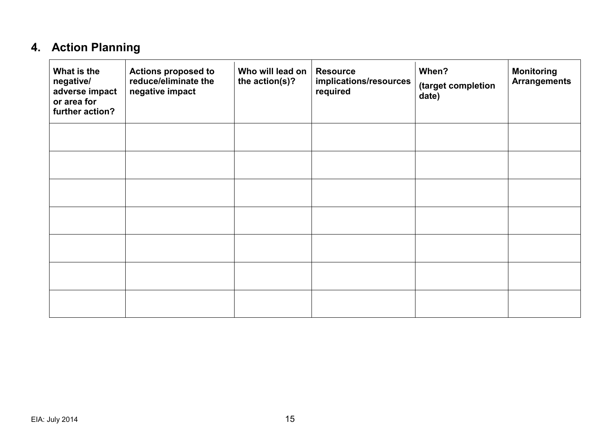# **4. Action Planning**

| What is the<br>negative/<br>adverse impact<br>or area for<br>further action? | <b>Actions proposed to</b><br>reduce/eliminate the<br>negative impact | Who will lead on<br>the action(s)? | <b>Resource</b><br>implications/resources<br>required | When?<br>(target completion<br>date) | <b>Monitoring</b><br><b>Arrangements</b> |
|------------------------------------------------------------------------------|-----------------------------------------------------------------------|------------------------------------|-------------------------------------------------------|--------------------------------------|------------------------------------------|
|                                                                              |                                                                       |                                    |                                                       |                                      |                                          |
|                                                                              |                                                                       |                                    |                                                       |                                      |                                          |
|                                                                              |                                                                       |                                    |                                                       |                                      |                                          |
|                                                                              |                                                                       |                                    |                                                       |                                      |                                          |
|                                                                              |                                                                       |                                    |                                                       |                                      |                                          |
|                                                                              |                                                                       |                                    |                                                       |                                      |                                          |
|                                                                              |                                                                       |                                    |                                                       |                                      |                                          |